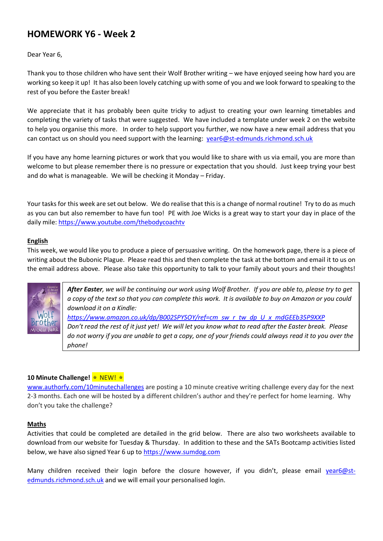# **HOMEWORK Y6 - Week 2**

Dear Year 6,

Thank you to those children who have sent their Wolf Brother writing – we have enjoyed seeing how hard you are working so keep it up! It has also been lovely catching up with some of you and we look forward to speaking to the rest of you before the Easter break!

We appreciate that it has probably been quite tricky to adjust to creating your own learning timetables and completing the variety of tasks that were suggested. We have included a template under week 2 on the website to help you organise this more. In order to help support you further, we now have a new email address that you can contact us on should you need support with the learning: [year6@st-edmunds.richmond.sch.uk](mailto:year6@st-edmunds.richmond.sch.uk)

If you have any home learning pictures or work that you would like to share with us via email, you are more than welcome to but please remember there is no pressure or expectation that you should. Just keep trying your best and do what is manageable. We will be checking it Monday – Friday.

Your tasks for this week are set out below. We do realise that this is a change of normal routine! Try to do as much as you can but also remember to have fun too! PE with Joe Wicks is a great way to start your day in place of the daily mile:<https://www.youtube.com/thebodycoachtv>

### **English**

This week, we would like you to produce a piece of persuasive writing. On the homework page, there is a piece of writing about the Bubonic Plague. Please read this and then complete the task at the bottom and email it to us on the email address above. Please also take this opportunity to talk to your family about yours and their thoughts!

> *After Easter, we will be continuing our work using Wolf Brother. If you are able to, please try to get a copy of the text so that you can complete this work. It is available to buy on Amazon or you could download it on a Kindle: [https://www.amazon.co.uk/dp/B002SPYSOY/ref=cm\\_sw\\_r\\_tw\\_dp\\_U\\_x\\_mdGEEb35P9XXP](https://www.amazon.co.uk/dp/B002SPYSOY/ref=cm_sw_r_tw_dp_U_x_mdGEEb35P9XXP) Don't read the rest of it just yet! We will let you know what to read after the Easter break. Please do not worry if you are unable to get a copy, one of your friends could always read it to you over the phone!*

#### **10 Minute Challenge!** ⭐️ NEW! ⭐️

[www.authorfy.com/10minutechallenges](http://www.authorfy.com/10minutechallenges) are posting a 10 minute creative writing challenge every day for the next 2-3 months. Each one will be hosted by a different children's author and they're perfect for home learning. Why don't you take the challenge?

#### **Maths**

Activities that could be completed are detailed in the grid below. There are also two worksheets available to download from our website for Tuesday & Thursday. In addition to these and the SATs Bootcamp activities listed below, we have also signed Year 6 up to [https://www.sumdog.com](https://www.sumdog.com/)

Many children received their login before the closure however, if you didn't, please email [year6@st](mailto:year6@st-edmunds.richmond.sch.uk)[edmunds.richmond.sch.uk](mailto:year6@st-edmunds.richmond.sch.uk) and we will email your personalised login.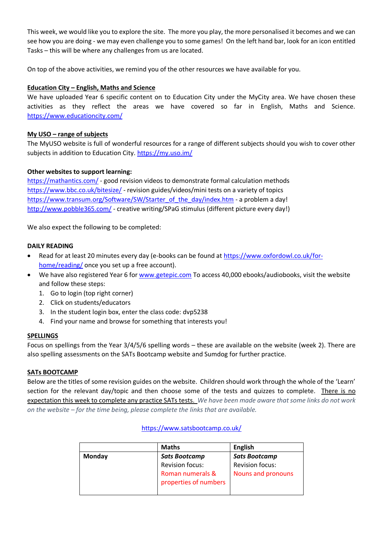This week, we would like you to explore the site. The more you play, the more personalised it becomes and we can see how you are doing - we may even challenge you to some games! On the left hand bar, look for an icon entitled Tasks – this will be where any challenges from us are located.

On top of the above activities, we remind you of the other resources we have available for you.

# **Education City – English, Maths and Science**

We have uploaded Year 6 specific content on to Education City under the MyCity area. We have chosen these activities as they reflect the areas we have covered so far in English, Maths and Science. <https://www.educationcity.com/>

### **My USO – range of subjects**

The MyUSO website is full of wonderful resources for a range of different subjects should you wish to cover other subjects in addition to Education City. <https://my.uso.im/>

### **Other websites to support learning:**

<https://mathantics.com/> - good revision videos to demonstrate formal calculation methods <https://www.bbc.co.uk/bitesize/> - revision guides/videos/mini tests on a variety of topics [https://www.transum.org/Software/SW/Starter\\_of\\_the\\_day/index.htm](https://www.transum.org/Software/SW/Starter_of_the_day/index.htm) - a problem a day! <http://www.pobble365.com/> - creative writing/SPaG stimulus (different picture every day!)

We also expect the following to be completed:

#### **DAILY READING**

- Read for at least 20 minutes every day (e-books can be found at [https://www.oxfordowl.co.uk/for](https://www.oxfordowl.co.uk/for-home/reading/)[home/reading/](https://www.oxfordowl.co.uk/for-home/reading/) once you set up a free account).
- We have also registered Year 6 for [www.getepic.com](http://www.getepic.com/) To access 40,000 ebooks/audiobooks, visit the website and follow these steps:
	- 1. Go to login (top right corner)
	- 2. Click on students/educators
	- 3. In the student login box, enter the class code: dvp5238
	- 4. Find your name and browse for something that interests you!

#### **SPELLINGS**

Focus on spellings from the Year 3/4/5/6 spelling words – these are available on the website (week 2). There are also spelling assessments on the SATs Bootcamp website and Sumdog for further practice.

#### **SATs BOOTCAMP**

Below are the titles of some revision guides on the website. Children should work through the whole of the 'Learn' section for the relevant day/topic and then choose some of the tests and quizzes to complete. There is no expectation this week to complete any practice SATs tests. *We have been made aware that some links do not work on the website – for the time being, please complete the links that are available.*

#### **Maths English Monday** *Sats Bootcamp* Revision focus: Roman numerals & properties of numbers *Sats Bootcamp* Revision focus: Nouns and pronouns

# <https://www.satsbootcamp.co.uk/>